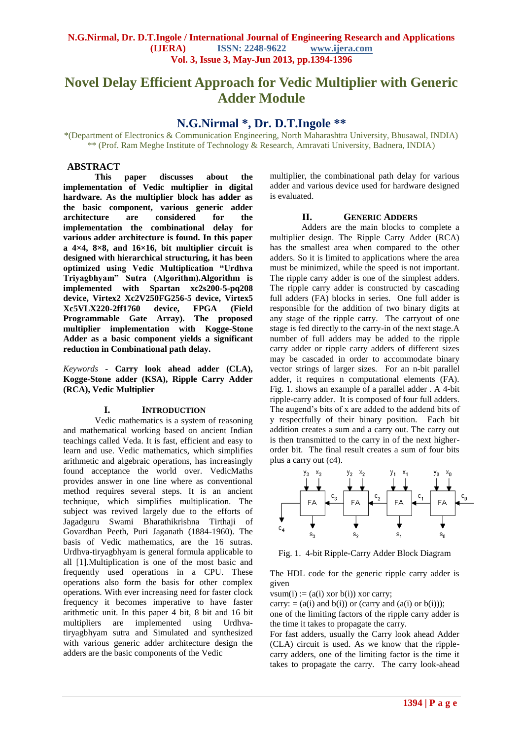# **Novel Delay Efficient Approach for Vedic Multiplier with Generic Adder Module**

## **N.G.Nirmal \*, Dr. D.T.Ingole \*\***

\*(Department of Electronics & Communication Engineering, North Maharashtra University, Bhusawal, INDIA) \*\* (Prof. Ram Meghe Institute of Technology & Research, Amravati University, Badnera, INDIA)

#### **ABSTRACT**

**This paper discusses about the implementation of Vedic multiplier in digital hardware. As the multiplier block has adder as the basic component, various generic adder architecture are considered for the implementation the combinational delay for various adder architecture is found. In this paper a 4×4, 8×8, and 16×16, bit multiplier circuit is designed with hierarchical structuring, it has been optimized using Vedic Multiplication "Urdhva Triyagbhyam" Sutra (Algorithm).Algorithm is implemented with Spartan xc2s200-5-pq208 device, Virtex2 Xc2V250FG256-5 device, Virtex5 Xc5VLX220-2ff1760 device, FPGA (Field Programmable Gate Array). The proposed multiplier implementation with Kogge-Stone Adder as a basic component yields a significant reduction in Combinational path delay.**

*Keywords* **- Carry look ahead adder (CLA), Kogge-Stone adder (KSA), Ripple Carry Adder (RCA), Vedic Multiplier**

#### **I. INTRODUCTION**

Vedic mathematics is a system of reasoning and mathematical working based on ancient Indian teachings called Veda. It is fast, efficient and easy to learn and use. Vedic mathematics, which simplifies arithmetic and algebraic operations, has increasingly found acceptance the world over. VedicMaths provides answer in one line where as conventional method requires several steps. It is an ancient technique, which simplifies multiplication. The subject was revived largely due to the efforts of Jagadguru Swami Bharathikrishna Tirthaji of Govardhan Peeth, Puri Jaganath (1884-1960). The basis of Vedic mathematics, are the 16 sutras. Urdhva-tiryagbhyam is general formula applicable to all [1].Multiplication is one of the most basic and frequently used operations in a CPU. These operations also form the basis for other complex operations. With ever increasing need for faster clock frequency it becomes imperative to have faster arithmetic unit. In this paper 4 bit, 8 bit and 16 bit multipliers are implemented using Urdhvatiryagbhyam sutra and Simulated and synthesized with various generic adder architecture design the adders are the basic components of the Vedic

multiplier, the combinational path delay for various adder and various device used for hardware designed is evaluated.

#### **II. GENERIC ADDERS**

Adders are the main blocks to complete a multiplier design. The Ripple Carry Adder (RCA) has the smallest area when compared to the other adders. So it is limited to applications where the area must be minimized, while the speed is not important. The ripple carry adder is one of the simplest adders. The ripple carry adder is constructed by cascading full adders (FA) blocks in series. One full adder is responsible for the addition of two binary digits at any stage of the ripple carry. The carryout of one stage is fed directly to the carry-in of the next stage.A number of full adders may be added to the ripple carry adder or ripple carry adders of different sizes may be cascaded in order to accommodate binary vector strings of larger sizes. For an n-bit parallel adder, it requires n computational elements (FA). Fig. 1. shows an example of a parallel adder . A 4-bit ripple-carry adder. It is composed of four full adders. The augend's bits of x are added to the addend bits of y respectfully of their binary position. Each bit addition creates a sum and a carry out. The carry out is then transmitted to the carry in of the next higherorder bit. The final result creates a sum of four bits plus a carry out (c4).



Fig. 1. 4-bit Ripple-Carry Adder Block Diagram

The HDL code for the generic ripple carry adder is given

vsum(i) :=  $(a(i) \times b(i)) \times$  xor carry;

carry:  $= (a(i)$  and  $b(i))$  or (carry and  $(a(i)$  or  $b(i))$ );

one of the limiting factors of the ripple carry adder is the time it takes to propagate the carry.

For fast adders, usually the Carry look ahead Adder (CLA) circuit is used. As we know that the ripplecarry adders, one of the limiting factor is the time it takes to propagate the carry. The carry look-ahead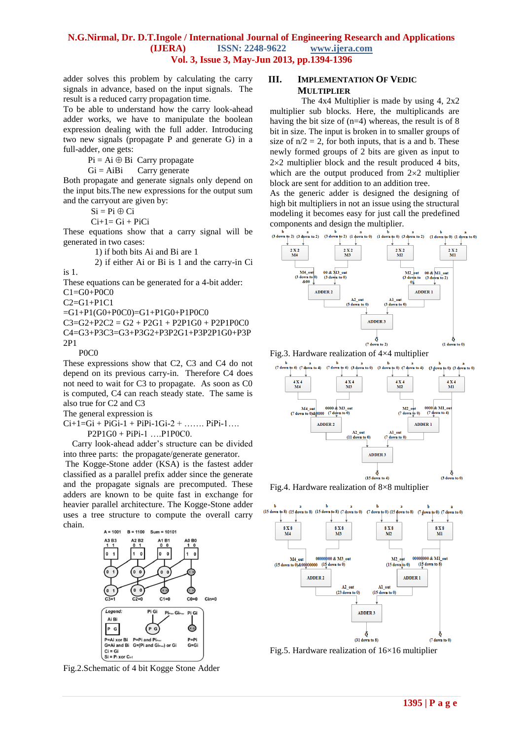#### **N.G.Nirmal, Dr. D.T.Ingole / International Journal of Engineering Research and Applications (IJERA) ISSN: 2248-9622 www.ijera.com Vol. 3, Issue 3, May-Jun 2013, pp.1394-1396**

adder solves this problem by calculating the carry signals in advance, based on the input signals. The result is a reduced carry propagation time.

To be able to understand how the carry look-ahead adder works, we have to manipulate the boolean expression dealing with the full adder. Introducing two new signals (propagate P and generate G) in a full-adder, one gets:

 $Pi = Ai \oplus Bi$  Carry propagate

 $Gi = AiBi$  Carry generate

Both propagate and generate signals only depend on the input bits.The new expressions for the output sum and the carryout are given by:

> $Si = Pi \oplus Ci$  $Ci+1= Gi+PiCi$

These equations show that a carry signal will be generated in two cases:

1) if both bits Ai and Bi are 1

2) if either Ai or Bi is 1 and the carry-in Ci is 1.

These equations can be generated for a 4-bit adder:

C1=G0+P0C0

C2=G1+P1C1

=G1+P1(G0+P0C0)=G1+P1G0+P1P0C0

 $C3 = G2 + P2C2 = G2 + P2G1 + P2P1G0 + P2P1P0C0$ C4=G3+P3C3=G3+P3G2+P3P2G1+P3P2P1G0+P3P 2P1

P0C0

These expressions show that C2, C3 and C4 do not depend on its previous carry-in. Therefore C4 does not need to wait for C3 to propagate. As soon as C0 is computed, C4 can reach steady state. The same is also true for C2 and C3

The general expression is

 $Ci+1=Gi + PiGi-1 + PiPi-1Gi-2 + ...$ .  $PiPi-1...$ P2P1G0 + PiPi-1 ….P1P0C0.

Carry look-ahead adder's structure can be divided into three parts: the propagate/generate generator.

The Kogge-Stone adder (KSA) is the fastest adder classified as a parallel prefix adder since the generate and the propagate signals are precomputed. These adders are known to be quite fast in exchange for heavier parallel architecture. The Kogge-Stone adder uses a tree structure to compute the overall carry chain.



Fig.2.Schematic of 4 bit Kogge Stone Adder

#### **III. IMPLEMENTATION OF VEDIC MULTIPLIER**

The 4x4 Multiplier is made by using 4, 2x2 multiplier sub blocks. Here, the multiplicands are having the bit size of  $(n=4)$  whereas, the result is of 8 bit in size. The input is broken in to smaller groups of size of  $n/2 = 2$ , for both inputs, that is a and b. These newly formed groups of 2 bits are given as input to  $2\times2$  multiplier block and the result produced 4 bits, which are the output produced from  $2\times 2$  multiplier block are sent for addition to an addition tree.

As the generic adder is designed the designing of high bit multipliers in not an issue using the structural modeling it becomes easy for just call the predefined components and design the multiplier.



Fig.3. Hardware realization of 4×4 multiplier







Fig.5. Hardware realization of 16×16 multiplier